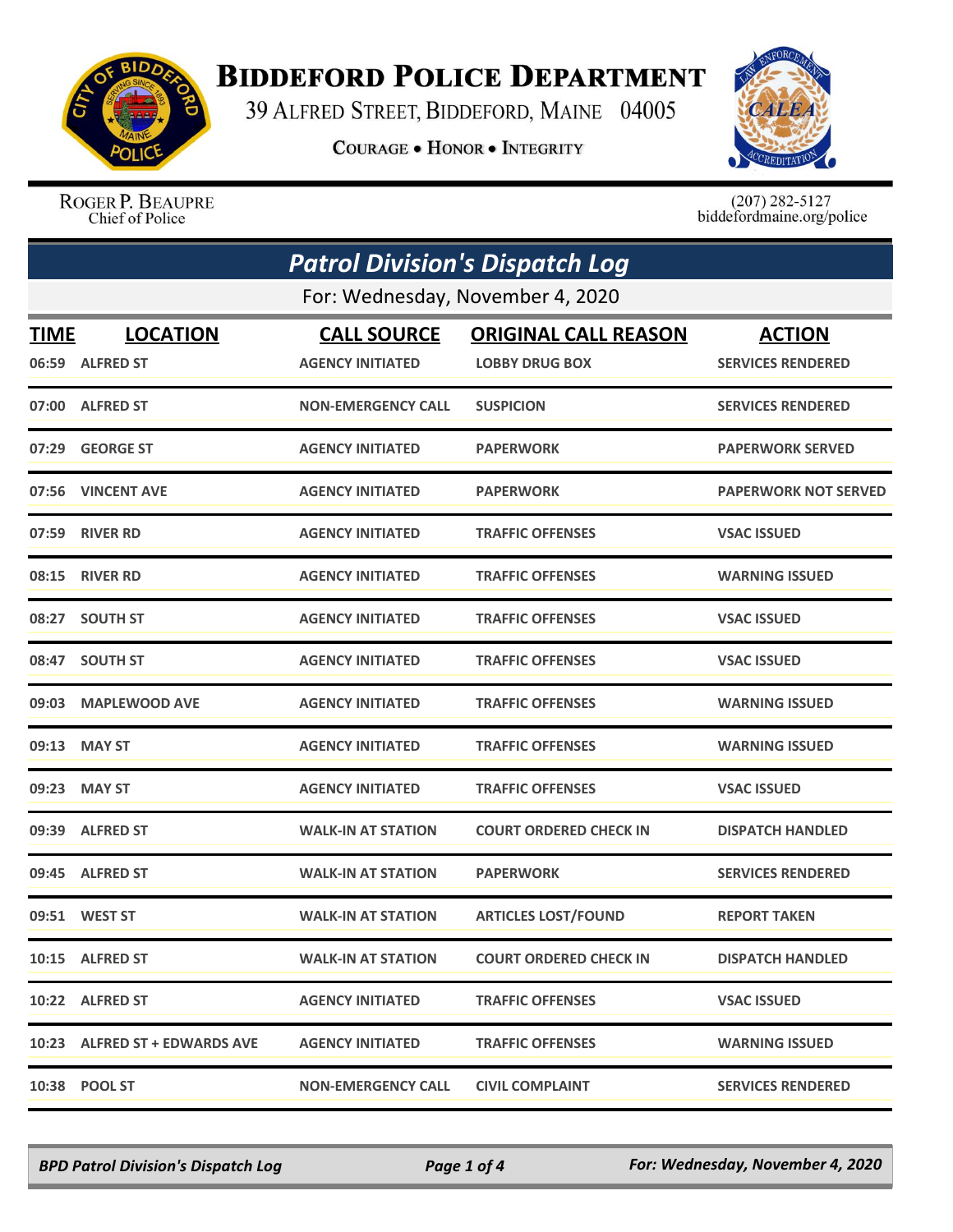

## **BIDDEFORD POLICE DEPARTMENT**

39 ALFRED STREET, BIDDEFORD, MAINE 04005

**COURAGE . HONOR . INTEGRITY** 



ROGER P. BEAUPRE Chief of Police

 $(207)$  282-5127<br>biddefordmaine.org/police

| <b>Patrol Division's Dispatch Log</b> |                               |                           |                               |                             |  |  |
|---------------------------------------|-------------------------------|---------------------------|-------------------------------|-----------------------------|--|--|
| For: Wednesday, November 4, 2020      |                               |                           |                               |                             |  |  |
| <b>TIME</b>                           | <b>LOCATION</b>               | <b>CALL SOURCE</b>        | <b>ORIGINAL CALL REASON</b>   | <b>ACTION</b>               |  |  |
|                                       | 06:59 ALFRED ST               | <b>AGENCY INITIATED</b>   | <b>LOBBY DRUG BOX</b>         | <b>SERVICES RENDERED</b>    |  |  |
|                                       | 07:00 ALFRED ST               | <b>NON-EMERGENCY CALL</b> | <b>SUSPICION</b>              | <b>SERVICES RENDERED</b>    |  |  |
|                                       | 07:29 GEORGE ST               | <b>AGENCY INITIATED</b>   | <b>PAPERWORK</b>              | <b>PAPERWORK SERVED</b>     |  |  |
|                                       | 07:56 VINCENT AVE             | <b>AGENCY INITIATED</b>   | <b>PAPERWORK</b>              | <b>PAPERWORK NOT SERVED</b> |  |  |
|                                       | 07:59 RIVER RD                | <b>AGENCY INITIATED</b>   | <b>TRAFFIC OFFENSES</b>       | <b>VSAC ISSUED</b>          |  |  |
|                                       | 08:15 RIVER RD                | <b>AGENCY INITIATED</b>   | <b>TRAFFIC OFFENSES</b>       | <b>WARNING ISSUED</b>       |  |  |
|                                       | 08:27 SOUTH ST                | <b>AGENCY INITIATED</b>   | <b>TRAFFIC OFFENSES</b>       | <b>VSAC ISSUED</b>          |  |  |
| 08:47                                 | <b>SOUTH ST</b>               | <b>AGENCY INITIATED</b>   | <b>TRAFFIC OFFENSES</b>       | <b>VSAC ISSUED</b>          |  |  |
|                                       | 09:03 MAPLEWOOD AVE           | <b>AGENCY INITIATED</b>   | <b>TRAFFIC OFFENSES</b>       | <b>WARNING ISSUED</b>       |  |  |
| 09:13                                 | <b>MAY ST</b>                 | <b>AGENCY INITIATED</b>   | <b>TRAFFIC OFFENSES</b>       | <b>WARNING ISSUED</b>       |  |  |
|                                       | 09:23 MAY ST                  | <b>AGENCY INITIATED</b>   | <b>TRAFFIC OFFENSES</b>       | <b>VSAC ISSUED</b>          |  |  |
|                                       | 09:39 ALFRED ST               | <b>WALK-IN AT STATION</b> | <b>COURT ORDERED CHECK IN</b> | <b>DISPATCH HANDLED</b>     |  |  |
|                                       | 09:45 ALFRED ST               | <b>WALK-IN AT STATION</b> | <b>PAPERWORK</b>              | <b>SERVICES RENDERED</b>    |  |  |
|                                       | 09:51 WEST ST                 | <b>WALK-IN AT STATION</b> | <b>ARTICLES LOST/FOUND</b>    | <b>REPORT TAKEN</b>         |  |  |
|                                       | 10:15 ALFRED ST               | <b>WALK-IN AT STATION</b> | <b>COURT ORDERED CHECK IN</b> | <b>DISPATCH HANDLED</b>     |  |  |
|                                       | 10:22 ALFRED ST               | <b>AGENCY INITIATED</b>   | <b>TRAFFIC OFFENSES</b>       | <b>VSAC ISSUED</b>          |  |  |
|                                       | 10:23 ALFRED ST + EDWARDS AVE | <b>AGENCY INITIATED</b>   | <b>TRAFFIC OFFENSES</b>       | <b>WARNING ISSUED</b>       |  |  |
| 10:38                                 | <b>POOL ST</b>                | <b>NON-EMERGENCY CALL</b> | <b>CIVIL COMPLAINT</b>        | <b>SERVICES RENDERED</b>    |  |  |

*BPD Patrol Division's Dispatch Log Page 1 of 4 For: Wednesday, November 4, 2020*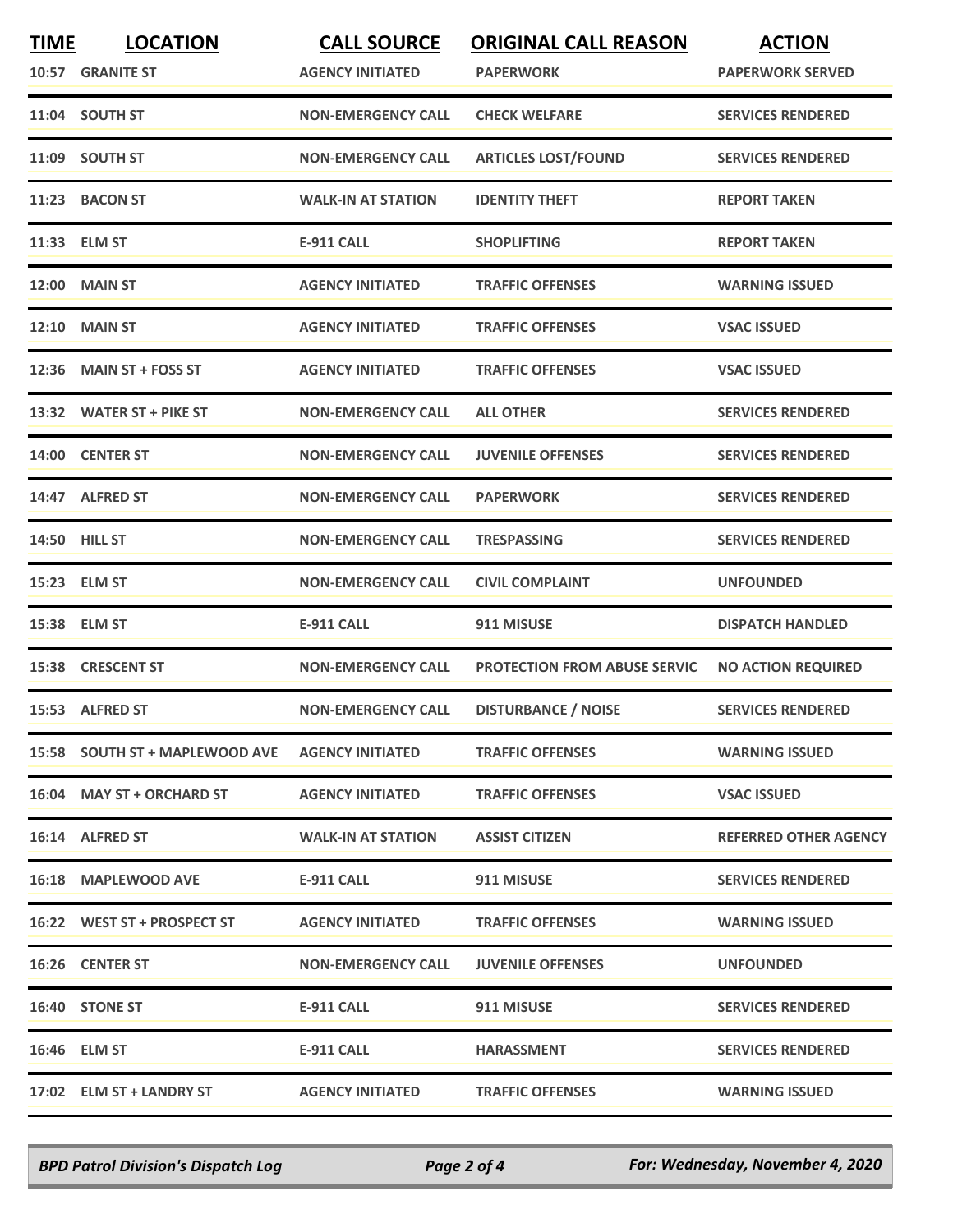| <b>TIME</b> | <b>LOCATION</b><br>10:57 GRANITE ST | <b>CALL SOURCE</b><br><b>AGENCY INITIATED</b> | <b>ORIGINAL CALL REASON</b><br><b>PAPERWORK</b> | <b>ACTION</b><br><b>PAPERWORK SERVED</b> |
|-------------|-------------------------------------|-----------------------------------------------|-------------------------------------------------|------------------------------------------|
|             | 11:04 SOUTH ST                      | <b>NON-EMERGENCY CALL</b>                     | <b>CHECK WELFARE</b>                            | <b>SERVICES RENDERED</b>                 |
|             | 11:09 SOUTH ST                      | <b>NON-EMERGENCY CALL</b>                     | <b>ARTICLES LOST/FOUND</b>                      | <b>SERVICES RENDERED</b>                 |
|             | 11:23 BACON ST                      | <b>WALK-IN AT STATION</b>                     | <b>IDENTITY THEFT</b>                           | <b>REPORT TAKEN</b>                      |
|             | 11:33 ELM ST                        | <b>E-911 CALL</b>                             | <b>SHOPLIFTING</b>                              | <b>REPORT TAKEN</b>                      |
|             | <b>12:00 MAIN ST</b>                | <b>AGENCY INITIATED</b>                       | <b>TRAFFIC OFFENSES</b>                         | <b>WARNING ISSUED</b>                    |
|             | <b>12:10 MAIN ST</b>                | <b>AGENCY INITIATED</b>                       | <b>TRAFFIC OFFENSES</b>                         | <b>VSAC ISSUED</b>                       |
|             | 12:36 MAIN ST + FOSS ST             | <b>AGENCY INITIATED</b>                       | <b>TRAFFIC OFFENSES</b>                         | <b>VSAC ISSUED</b>                       |
|             | 13:32 WATER ST + PIKE ST            | <b>NON-EMERGENCY CALL</b>                     | <b>ALL OTHER</b>                                | <b>SERVICES RENDERED</b>                 |
|             | 14:00 CENTER ST                     | <b>NON-EMERGENCY CALL</b>                     | <b>JUVENILE OFFENSES</b>                        | <b>SERVICES RENDERED</b>                 |
|             | 14:47 ALFRED ST                     | <b>NON-EMERGENCY CALL</b>                     | <b>PAPERWORK</b>                                | <b>SERVICES RENDERED</b>                 |
|             | <b>14:50 HILL ST</b>                | <b>NON-EMERGENCY CALL</b>                     | <b>TRESPASSING</b>                              | <b>SERVICES RENDERED</b>                 |
|             | 15:23 ELM ST                        | <b>NON-EMERGENCY CALL</b>                     | <b>CIVIL COMPLAINT</b>                          | <b>UNFOUNDED</b>                         |
|             | 15:38 ELM ST                        | <b>E-911 CALL</b>                             | 911 MISUSE                                      | <b>DISPATCH HANDLED</b>                  |
|             | 15:38 CRESCENT ST                   | <b>NON-EMERGENCY CALL</b>                     | <b>PROTECTION FROM ABUSE SERVIC</b>             | <b>NO ACTION REQUIRED</b>                |
|             | 15:53 ALFRED ST                     | <b>NON-EMERGENCY CALL</b>                     | <b>DISTURBANCE / NOISE</b>                      | <b>SERVICES RENDERED</b>                 |
|             | 15:58 SOUTH ST + MAPLEWOOD AVE      | <b>AGENCY INITIATED</b>                       | <b>TRAFFIC OFFENSES</b>                         | <b>WARNING ISSUED</b>                    |
|             | 16:04 MAY ST + ORCHARD ST           | <b>AGENCY INITIATED</b>                       | <b>TRAFFIC OFFENSES</b>                         | <b>VSAC ISSUED</b>                       |
|             | 16:14 ALFRED ST                     | <b>WALK-IN AT STATION</b>                     | <b>ASSIST CITIZEN</b>                           | <b>REFERRED OTHER AGENCY</b>             |
|             | 16:18 MAPLEWOOD AVE                 | E-911 CALL                                    | 911 MISUSE                                      | <b>SERVICES RENDERED</b>                 |
|             | 16:22 WEST ST + PROSPECT ST         | <b>AGENCY INITIATED</b>                       | <b>TRAFFIC OFFENSES</b>                         | <b>WARNING ISSUED</b>                    |
|             | 16:26 CENTER ST                     | <b>NON-EMERGENCY CALL</b>                     | <b>JUVENILE OFFENSES</b>                        | <b>UNFOUNDED</b>                         |
|             | 16:40 STONE ST                      | E-911 CALL                                    | 911 MISUSE                                      | <b>SERVICES RENDERED</b>                 |
|             | 16:46 ELM ST                        | E-911 CALL                                    | <b>HARASSMENT</b>                               | <b>SERVICES RENDERED</b>                 |
|             | 17:02 ELM ST + LANDRY ST            | <b>AGENCY INITIATED</b>                       | <b>TRAFFIC OFFENSES</b>                         | <b>WARNING ISSUED</b>                    |

*BPD Patrol Division's Dispatch Log Page 2 of 4 For: Wednesday, November 4, 2020*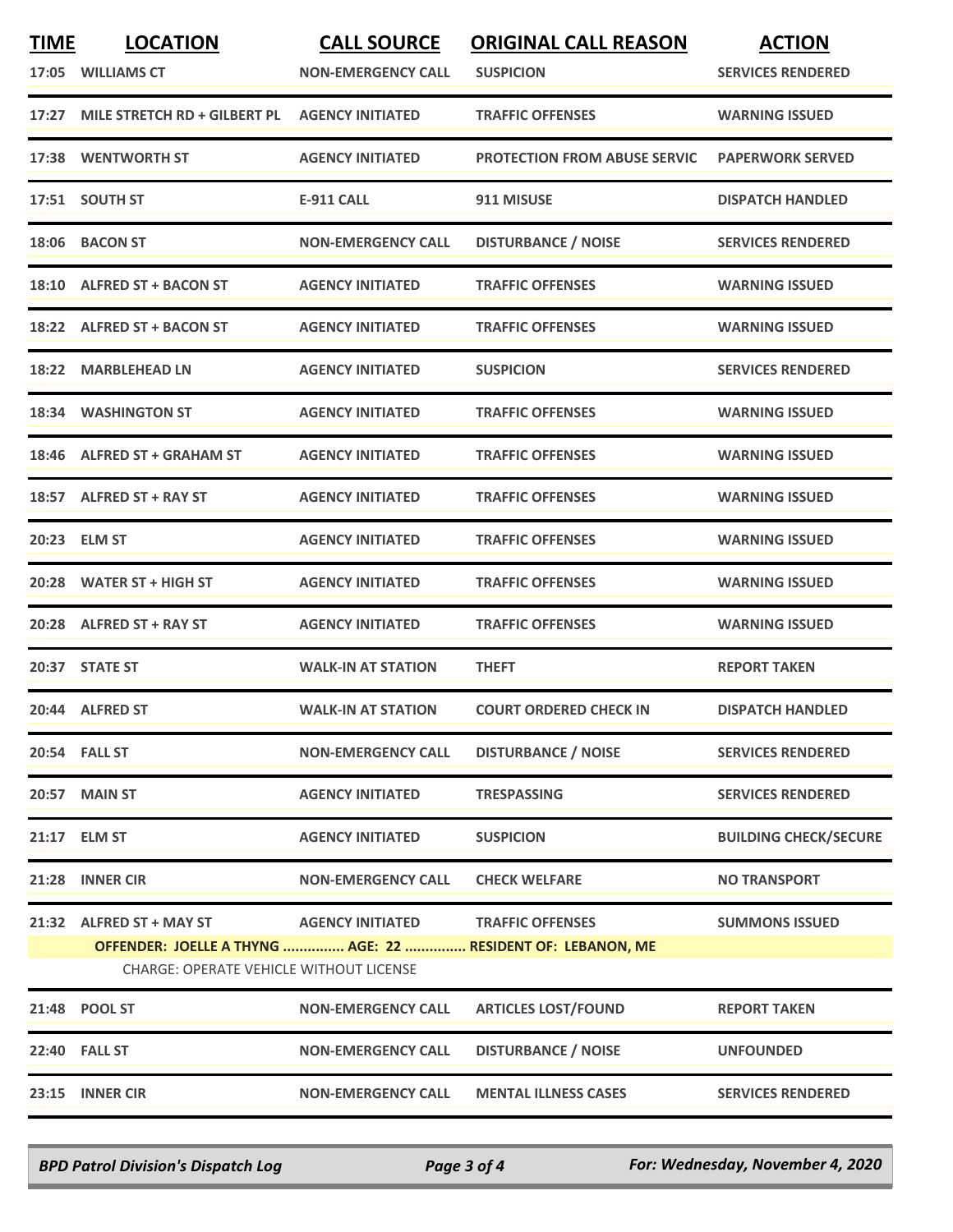| <b>TIME</b> | <b>LOCATION</b>                                                                                               | <b>CALL SOURCE</b>                | <b>ORIGINAL CALL REASON</b>         | <b>ACTION</b>                |
|-------------|---------------------------------------------------------------------------------------------------------------|-----------------------------------|-------------------------------------|------------------------------|
| 17:05       | <b>WILLIAMS CT</b>                                                                                            | <b>NON-EMERGENCY CALL</b>         | <b>SUSPICION</b>                    | <b>SERVICES RENDERED</b>     |
| 17:27       | MILE STRETCH RD + GILBERT PL                                                                                  | <b>AGENCY INITIATED</b>           | <b>TRAFFIC OFFENSES</b>             | <b>WARNING ISSUED</b>        |
|             | 17:38 WENTWORTH ST                                                                                            | <b>AGENCY INITIATED</b>           | <b>PROTECTION FROM ABUSE SERVIC</b> | <b>PAPERWORK SERVED</b>      |
|             | 17:51 SOUTH ST                                                                                                | <b>E-911 CALL</b>                 | 911 MISUSE                          | <b>DISPATCH HANDLED</b>      |
|             | 18:06 BACON ST                                                                                                | <b>NON-EMERGENCY CALL</b>         | <b>DISTURBANCE / NOISE</b>          | <b>SERVICES RENDERED</b>     |
|             | 18:10 ALFRED ST + BACON ST                                                                                    | <b>AGENCY INITIATED</b>           | <b>TRAFFIC OFFENSES</b>             | <b>WARNING ISSUED</b>        |
| 18:22       | <b>ALFRED ST + BACON ST</b>                                                                                   | <b>AGENCY INITIATED</b>           | <b>TRAFFIC OFFENSES</b>             | <b>WARNING ISSUED</b>        |
| 18:22       | <b>MARBLEHEAD LN</b>                                                                                          | <b>AGENCY INITIATED</b>           | <b>SUSPICION</b>                    | <b>SERVICES RENDERED</b>     |
| 18:34       | <b>WASHINGTON ST</b>                                                                                          | <b>AGENCY INITIATED</b>           | <b>TRAFFIC OFFENSES</b>             | <b>WARNING ISSUED</b>        |
|             | 18:46 ALFRED ST + GRAHAM ST                                                                                   | <b>AGENCY INITIATED</b>           | <b>TRAFFIC OFFENSES</b>             | <b>WARNING ISSUED</b>        |
| 18:57       | <b>ALFRED ST + RAY ST</b>                                                                                     | <b>AGENCY INITIATED</b>           | <b>TRAFFIC OFFENSES</b>             | <b>WARNING ISSUED</b>        |
|             | 20:23 ELM ST                                                                                                  | <b>AGENCY INITIATED</b>           | <b>TRAFFIC OFFENSES</b>             | <b>WARNING ISSUED</b>        |
| 20:28       | <b>WATER ST + HIGH ST</b>                                                                                     | <b>AGENCY INITIATED</b>           | <b>TRAFFIC OFFENSES</b>             | <b>WARNING ISSUED</b>        |
|             | 20:28 ALFRED ST + RAY ST                                                                                      | <b>AGENCY INITIATED</b>           | <b>TRAFFIC OFFENSES</b>             | <b>WARNING ISSUED</b>        |
|             | 20:37 STATE ST                                                                                                | <b>WALK-IN AT STATION</b>         | <b>THEFT</b>                        | <b>REPORT TAKEN</b>          |
|             | 20:44 ALFRED ST                                                                                               | <b>WALK-IN AT STATION</b>         | <b>COURT ORDERED CHECK IN</b>       | <b>DISPATCH HANDLED</b>      |
|             | <b>20:54 FALL ST</b>                                                                                          | <b>NON-EMERGENCY CALL</b>         | <b>DISTURBANCE / NOISE</b>          | <b>SERVICES RENDERED</b>     |
|             | <b>20:57 MAIN ST</b>                                                                                          | <b>AGENCY INITIATED</b>           | <b>TRESPASSING</b>                  | <b>SERVICES RENDERED</b>     |
|             | 21:17 ELM ST                                                                                                  | <b>AGENCY INITIATED</b>           | <b>SUSPICION</b>                    | <b>BUILDING CHECK/SECURE</b> |
|             | 21:28 INNER CIR                                                                                               | <b>NON-EMERGENCY CALL</b>         | <b>CHECK WELFARE</b>                | <b>NO TRANSPORT</b>          |
|             | 21:32 ALFRED ST + MAY ST                                                                                      | AGENCY INITIATED TRAFFIC OFFENSES |                                     | <b>SUMMONS ISSUED</b>        |
|             | OFFENDER: JOELLE A THYNG  AGE: 22  RESIDENT OF: LEBANON, ME<br><b>CHARGE: OPERATE VEHICLE WITHOUT LICENSE</b> |                                   |                                     |                              |
|             | 21:48 POOL ST                                                                                                 | <b>NON-EMERGENCY CALL</b>         | <b>ARTICLES LOST/FOUND</b>          | <b>REPORT TAKEN</b>          |
|             | <b>22:40 FALL ST</b>                                                                                          | <b>NON-EMERGENCY CALL</b>         | <b>DISTURBANCE / NOISE</b>          | <b>UNFOUNDED</b>             |
|             | 23:15 INNER CIR                                                                                               | <b>NON-EMERGENCY CALL</b>         | <b>MENTAL ILLNESS CASES</b>         | <b>SERVICES RENDERED</b>     |
|             |                                                                                                               |                                   |                                     |                              |

*BPD Patrol Division's Dispatch Log Page 3 of 4 For: Wednesday, November 4, 2020*